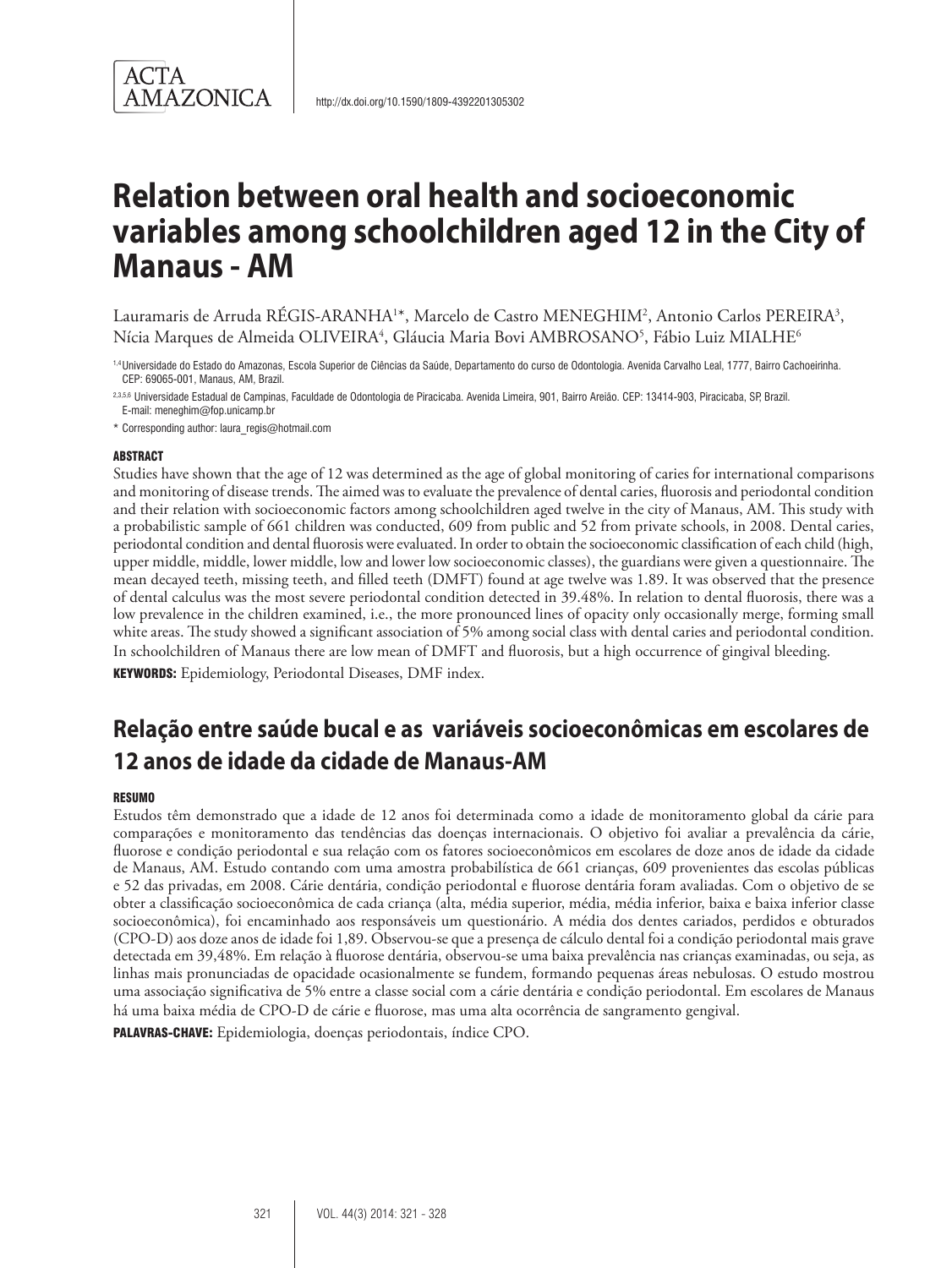

Lauramaris de Arruda RÉGIS-ARANHA<sup>1</sup>\*, Marcelo de Castro MENEGHIM<sup>2</sup>, Antonio Carlos PEREIRA<sup>3</sup>, Nícia Marques de Almeida OLIVEIRA<sup>4</sup>, Gláucia Maria Bovi AMBROSANO<sup>5</sup>, Fábio Luiz MIALHE<sup>6</sup>

1,4Universidade do Estado do Amazonas, Escola Superior de Ciências da Saúde, Departamento do curso de Odontologia. Avenida Carvalho Leal, 1777, Bairro Cachoeirinha. CEP: 69065-001, Manaus, AM, Brazil.

2,3,5,6 Universidade Estadual de Campinas, Faculdade de Odontologia de Piracicaba. Avenida Limeira, 901, Bairro Areião. CEP: 13414-903, Piracicaba, SP, Brazil. E-mail: meneghim@fop.unicamp.br

\* Corresponding author: laura\_regis@hotmail.com

#### ABSTRACT

Studies have shown that the age of 12 was determined as the age of global monitoring of caries for international comparisons and monitoring of disease trends. The aimed was to evaluate the prevalence of dental caries, fluorosis and periodontal condition and their relation with socioeconomic factors among schoolchildren aged twelve in the city of Manaus, AM. This study with a probabilistic sample of 661 children was conducted, 609 from public and 52 from private schools, in 2008. Dental caries, periodontal condition and dental fluorosis were evaluated. In order to obtain the socioeconomic classification of each child (high, upper middle, middle, lower middle, low and lower low socioeconomic classes), the guardians were given a questionnaire. The mean decayed teeth, missing teeth, and filled teeth (DMFT) found at age twelve was 1.89. It was observed that the presence of dental calculus was the most severe periodontal condition detected in 39.48%. In relation to dental fluorosis, there was a low prevalence in the children examined, i.e., the more pronounced lines of opacity only occasionally merge, forming small white areas. The study showed a significant association of 5% among social class with dental caries and periodontal condition. In schoolchildren of Manaus there are low mean of DMFT and fluorosis, but a high occurrence of gingival bleeding.

KEYWORDS: Epidemiology, Periodontal Diseases, DMF index.

# **Relação entre saúde bucal e as variáveis socioeconômicas em escolares de 12 anos de idade da cidade de Manaus-AM**

#### RESUMO

Estudos têm demonstrado que a idade de 12 anos foi determinada como a idade de monitoramento global da cárie para comparações e monitoramento das tendências das doenças internacionais. O objetivo foi avaliar a prevalência da cárie, fluorose e condição periodontal e sua relação com os fatores socioeconômicos em escolares de doze anos de idade da cidade de Manaus, AM. Estudo contando com uma amostra probabilística de 661 crianças, 609 provenientes das escolas públicas e 52 das privadas, em 2008. Cárie dentária, condição periodontal e fluorose dentária foram avaliadas. Com o objetivo de se obter a classificação socioeconômica de cada criança (alta, média superior, média, média inferior, baixa e baixa inferior classe socioeconômica), foi encaminhado aos responsáveis um questionário. A média dos dentes cariados, perdidos e obturados (CPO-D) aos doze anos de idade foi 1,89. Observou-se que a presença de cálculo dental foi a condição periodontal mais grave detectada em 39,48%. Em relação à fluorose dentária, observou-se uma baixa prevalência nas crianças examinadas, ou seja, as linhas mais pronunciadas de opacidade ocasionalmente se fundem, formando pequenas áreas nebulosas. O estudo mostrou uma associação significativa de 5% entre a classe social com a cárie dentária e condição periodontal. Em escolares de Manaus há uma baixa média de CPO-D de cárie e fluorose, mas uma alta ocorrência de sangramento gengival.

PALAVRAS-CHAVE: Epidemiologia, doenças periodontais, índice CPO.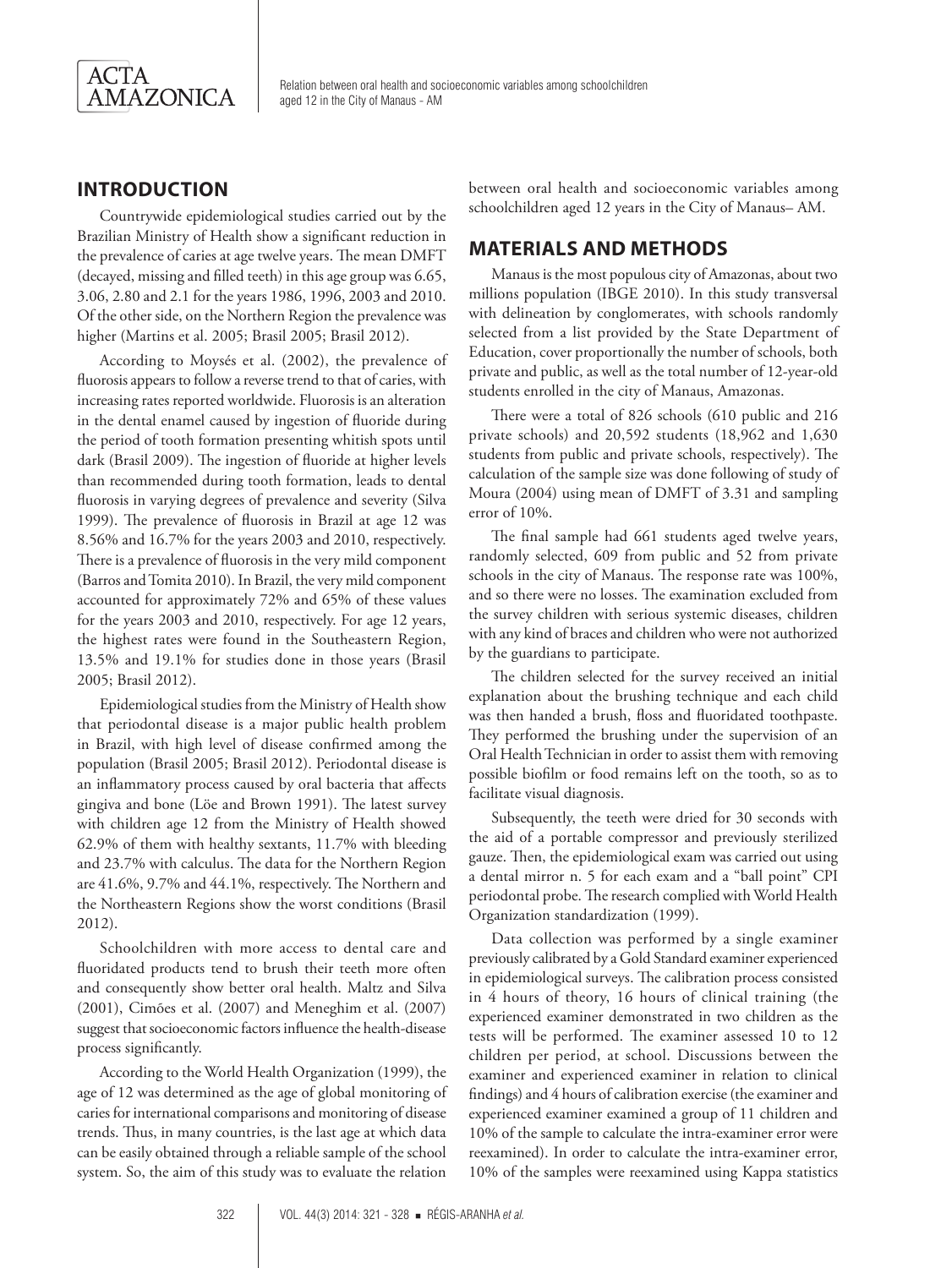

#### **INTRODUCTION**

Countrywide epidemiological studies carried out by the Brazilian Ministry of Health show a significant reduction in the prevalence of caries at age twelve years. The mean DMFT (decayed, missing and filled teeth) in this age group was 6.65, 3.06, 2.80 and 2.1 for the years 1986, 1996, 2003 and 2010. Of the other side, on the Northern Region the prevalence was higher (Martins et al. 2005; Brasil 2005; Brasil 2012).

According to Moysés et al. (2002), the prevalence of fluorosis appears to follow a reverse trend to that of caries, with increasing rates reported worldwide. Fluorosis is an alteration in the dental enamel caused by ingestion of fluoride during the period of tooth formation presenting whitish spots until dark (Brasil 2009). The ingestion of fluoride at higher levels than recommended during tooth formation, leads to dental fluorosis in varying degrees of prevalence and severity (Silva 1999). The prevalence of fluorosis in Brazil at age 12 was 8.56% and 16.7% for the years 2003 and 2010, respectively. There is a prevalence of fluorosis in the very mild component (Barros and Tomita 2010). In Brazil, the very mild component accounted for approximately 72% and 65% of these values for the years 2003 and 2010, respectively. For age 12 years, the highest rates were found in the Southeastern Region, 13.5% and 19.1% for studies done in those years (Brasil 2005; Brasil 2012).

Epidemiological studies from the Ministry of Health show that periodontal disease is a major public health problem in Brazil, with high level of disease confirmed among the population (Brasil 2005; Brasil 2012). Periodontal disease is an inflammatory process caused by oral bacteria that affects gingiva and bone (Löe and Brown 1991). The latest survey with children age 12 from the Ministry of Health showed 62.9% of them with healthy sextants, 11.7% with bleeding and 23.7% with calculus. The data for the Northern Region are 41.6%, 9.7% and 44.1%, respectively. The Northern and the Northeastern Regions show the worst conditions (Brasil 2012).

Schoolchildren with more access to dental care and fluoridated products tend to brush their teeth more often and consequently show better oral health. Maltz and Silva (2001), Cimões et al. (2007) and Meneghim et al. (2007) suggest that socioeconomic factors influence the health-disease process significantly.

According to the World Health Organization (1999), the age of 12 was determined as the age of global monitoring of caries for international comparisons and monitoring of disease trends. Thus, in many countries, is the last age at which data can be easily obtained through a reliable sample of the school system. So, the aim of this study was to evaluate the relation between oral health and socioeconomic variables among schoolchildren aged 12 years in the City of Manaus– AM.

### **MATERIALS AND METHODS**

Manaus is the most populous city of Amazonas, about two millions population (IBGE 2010). In this study transversal with delineation by conglomerates, with schools randomly selected from a list provided by the State Department of Education, cover proportionally the number of schools, both private and public, as well as the total number of 12-year-old students enrolled in the city of Manaus, Amazonas.

There were a total of 826 schools (610 public and 216 private schools) and 20,592 students (18,962 and 1,630 students from public and private schools, respectively). The calculation of the sample size was done following of study of Moura (2004) using mean of DMFT of 3.31 and sampling error of 10%.

The final sample had 661 students aged twelve years, randomly selected, 609 from public and 52 from private schools in the city of Manaus. The response rate was 100%, and so there were no losses. The examination excluded from the survey children with serious systemic diseases, children with any kind of braces and children who were not authorized by the guardians to participate.

The children selected for the survey received an initial explanation about the brushing technique and each child was then handed a brush, floss and fluoridated toothpaste. They performed the brushing under the supervision of an Oral Health Technician in order to assist them with removing possible biofilm or food remains left on the tooth, so as to facilitate visual diagnosis.

Subsequently, the teeth were dried for 30 seconds with the aid of a portable compressor and previously sterilized gauze. Then, the epidemiological exam was carried out using a dental mirror n. 5 for each exam and a "ball point" CPI periodontal probe. The research complied with World Health Organization standardization (1999).

Data collection was performed by a single examiner previously calibrated by a Gold Standard examiner experienced in epidemiological surveys. The calibration process consisted in 4 hours of theory, 16 hours of clinical training (the experienced examiner demonstrated in two children as the tests will be performed. The examiner assessed 10 to 12 children per period, at school. Discussions between the examiner and experienced examiner in relation to clinical findings) and 4 hours of calibration exercise (the examiner and experienced examiner examined a group of 11 children and 10% of the sample to calculate the intra-examiner error were reexamined). In order to calculate the intra-examiner error, 10% of the samples were reexamined using Kappa statistics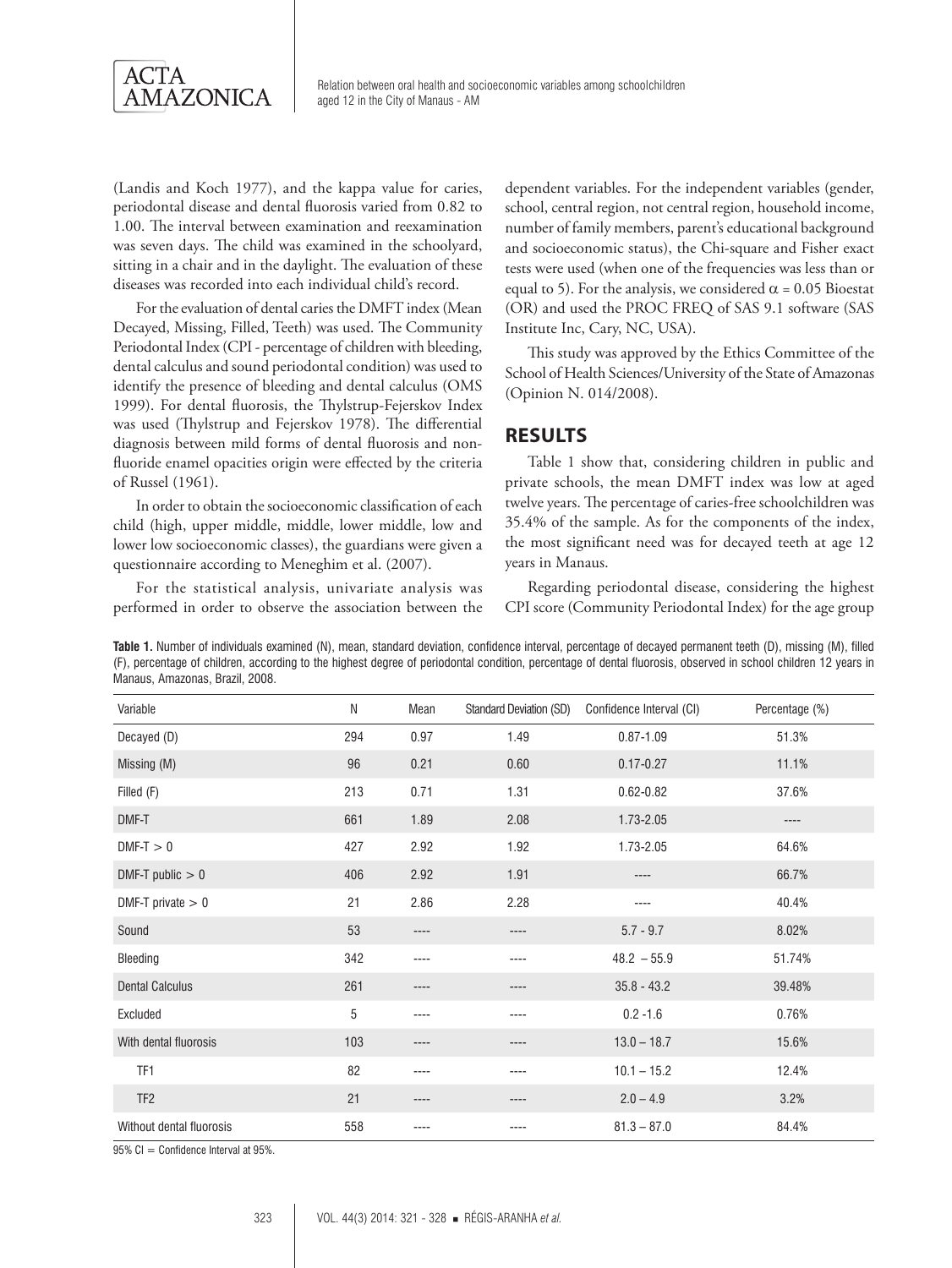

(Landis and Koch 1977), and the kappa value for caries, periodontal disease and dental fluorosis varied from 0.82 to 1.00. The interval between examination and reexamination was seven days. The child was examined in the schoolyard, sitting in a chair and in the daylight. The evaluation of these diseases was recorded into each individual child's record.

For the evaluation of dental caries the DMFT index (Mean Decayed, Missing, Filled, Teeth) was used. The Community Periodontal Index (CPI - percentage of children with bleeding, dental calculus and sound periodontal condition) was used to identify the presence of bleeding and dental calculus (OMS 1999). For dental fluorosis, the Thylstrup-Fejerskov Index was used (Thylstrup and Fejerskov 1978). The differential diagnosis between mild forms of dental fluorosis and nonfluoride enamel opacities origin were effected by the criteria of Russel (1961).

In order to obtain the socioeconomic classification of each child (high, upper middle, middle, lower middle, low and lower low socioeconomic classes), the guardians were given a questionnaire according to Meneghim et al. (2007).

For the statistical analysis, univariate analysis was performed in order to observe the association between the dependent variables. For the independent variables (gender, school, central region, not central region, household income, number of family members, parent's educational background and socioeconomic status), the Chi-square and Fisher exact tests were used (when one of the frequencies was less than or equal to 5). For the analysis, we considered  $\alpha$  = 0.05 Bioestat (OR) and used the PROC FREQ of SAS 9.1 software (SAS Institute Inc, Cary, NC, USA).

This study was approved by the Ethics Committee of the School of Health Sciences/University of the State of Amazonas (Opinion N. 014/2008).

#### **RESULTS**

Table 1 show that, considering children in public and private schools, the mean DMFT index was low at aged twelve years. The percentage of caries-free schoolchildren was 35.4% of the sample. As for the components of the index, the most significant need was for decayed teeth at age 12 years in Manaus.

Regarding periodontal disease, considering the highest CPI score (Community Periodontal Index) for the age group

**Table 1.** Number of individuals examined (N), mean, standard deviation, confidence interval, percentage of decayed permanent teeth (D), missing (M), filled (F), percentage of children, according to the highest degree of periodontal condition, percentage of dental fluorosis, observed in school children 12 years in Manaus, Amazonas, Brazil, 2008.

| Variable                 | N   | Mean | <b>Standard Deviation (SD)</b> | Confidence Interval (CI) | Percentage (%) |
|--------------------------|-----|------|--------------------------------|--------------------------|----------------|
| Decayed (D)              | 294 | 0.97 | 1.49                           | $0.87 - 1.09$            | 51.3%          |
| Missing (M)              | 96  | 0.21 | 0.60                           | $0.17 - 0.27$            | 11.1%          |
| Filled (F)               | 213 | 0.71 | 1.31                           | $0.62 - 0.82$            | 37.6%          |
| DMF-T                    | 661 | 1.89 | 2.08                           | 1.73-2.05                | ----           |
| $DMF-T > 0$              | 427 | 2.92 | 1.92                           | 1.73-2.05                | 64.6%          |
| DMF-T public $> 0$       | 406 | 2.92 | 1.91                           | $---$                    | 66.7%          |
| DMF-T private $> 0$      | 21  | 2.86 | 2.28                           | ----                     | 40.4%          |
| Sound                    | 53  | ---- | ----                           | $5.7 - 9.7$              | 8.02%          |
| Bleeding                 | 342 | ---- | ----                           | $48.2 - 55.9$            | 51.74%         |
| <b>Dental Calculus</b>   | 261 | ---- | ----                           | $35.8 - 43.2$            | 39.48%         |
| Excluded                 | 5   | ---- | ----                           | $0.2 - 1.6$              | 0.76%          |
| With dental fluorosis    | 103 | ---- | ----                           | $13.0 - 18.7$            | 15.6%          |
| TF1                      | 82  | ---- | ----                           | $10.1 - 15.2$            | 12.4%          |
| TF <sub>2</sub>          | 21  | ---- | ----                           | $2.0 - 4.9$              | 3.2%           |
| Without dental fluorosis | 558 | ---- | ----                           | $81.3 - 87.0$            | 84.4%          |

 $95\%$  CI = Confidence Interval at  $95\%$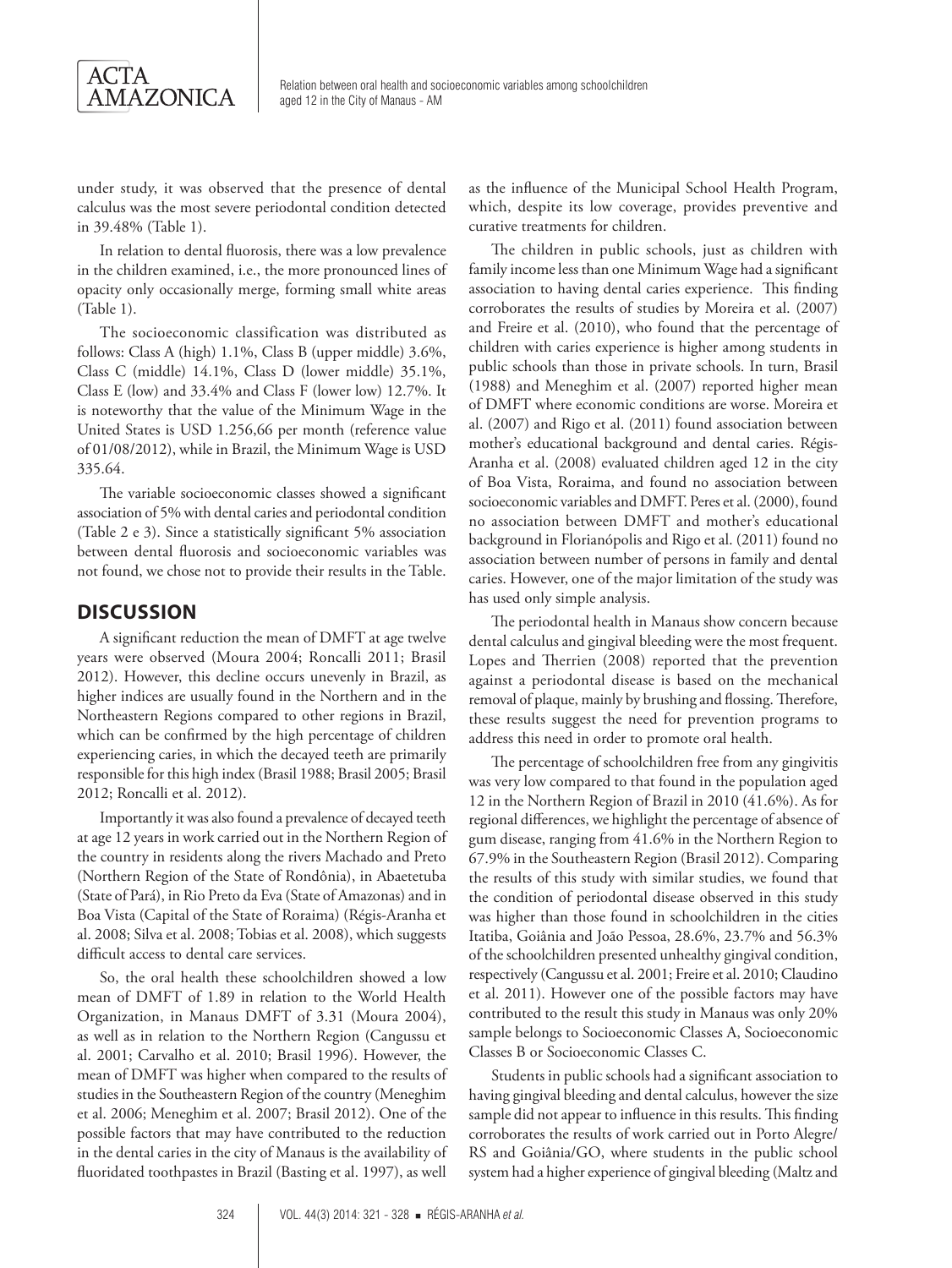

under study, it was observed that the presence of dental calculus was the most severe periodontal condition detected in 39.48% (Table 1).

In relation to dental fluorosis, there was a low prevalence in the children examined, i.e., the more pronounced lines of opacity only occasionally merge, forming small white areas (Table 1).

The socioeconomic classification was distributed as follows: Class A (high) 1.1%, Class B (upper middle) 3.6%, Class C (middle) 14.1%, Class D (lower middle) 35.1%, Class E (low) and 33.4% and Class F (lower low) 12.7%. It is noteworthy that the value of the Minimum Wage in the United States is USD 1.256,66 per month (reference value of 01/08/2012), while in Brazil, the Minimum Wage is USD 335.64.

The variable socioeconomic classes showed a significant association of 5% with dental caries and periodontal condition (Table 2 e 3). Since a statistically significant 5% association between dental fluorosis and socioeconomic variables was not found, we chose not to provide their results in the Table.

#### **DISCUSSION**

A significant reduction the mean of DMFT at age twelve years were observed (Moura 2004; Roncalli 2011; Brasil 2012). However, this decline occurs unevenly in Brazil, as higher indices are usually found in the Northern and in the Northeastern Regions compared to other regions in Brazil, which can be confirmed by the high percentage of children experiencing caries, in which the decayed teeth are primarily responsible for this high index (Brasil 1988; Brasil 2005; Brasil 2012; Roncalli et al. 2012).

Importantly it was also found a prevalence of decayed teeth at age 12 years in work carried out in the Northern Region of the country in residents along the rivers Machado and Preto (Northern Region of the State of Rondônia), in Abaetetuba (State of Pará), in Rio Preto da Eva (State of Amazonas) and in Boa Vista (Capital of the State of Roraima) (Régis-Aranha et al. 2008; Silva et al. 2008; Tobias et al. 2008), which suggests difficult access to dental care services.

So, the oral health these schoolchildren showed a low mean of DMFT of 1.89 in relation to the World Health Organization, in Manaus DMFT of 3.31 (Moura 2004), as well as in relation to the Northern Region (Cangussu et al. 2001; Carvalho et al. 2010; Brasil 1996). However, the mean of DMFT was higher when compared to the results of studies in the Southeastern Region of the country (Meneghim et al. 2006; Meneghim et al. 2007; Brasil 2012). One of the possible factors that may have contributed to the reduction in the dental caries in the city of Manaus is the availability of fluoridated toothpastes in Brazil (Basting et al. 1997), as well

as the influence of the Municipal School Health Program, which, despite its low coverage, provides preventive and curative treatments for children.

The children in public schools, just as children with family income less than one Minimum Wage had a significant association to having dental caries experience. This finding corroborates the results of studies by Moreira et al. (2007) and Freire et al. (2010), who found that the percentage of children with caries experience is higher among students in public schools than those in private schools. In turn, Brasil (1988) and Meneghim et al. (2007) reported higher mean of DMFT where economic conditions are worse. Moreira et al. (2007) and Rigo et al. (2011) found association between mother's educational background and dental caries. Régis-Aranha et al. (2008) evaluated children aged 12 in the city of Boa Vista, Roraima, and found no association between socioeconomic variables and DMFT. Peres et al. (2000), found no association between DMFT and mother's educational background in Florianópolis and Rigo et al. (2011) found no association between number of persons in family and dental caries. However, one of the major limitation of the study was has used only simple analysis.

The periodontal health in Manaus show concern because dental calculus and gingival bleeding were the most frequent. Lopes and Therrien (2008) reported that the prevention against a periodontal disease is based on the mechanical removal of plaque, mainly by brushing and flossing. Therefore, these results suggest the need for prevention programs to address this need in order to promote oral health.

The percentage of schoolchildren free from any gingivitis was very low compared to that found in the population aged 12 in the Northern Region of Brazil in 2010 (41.6%). As for regional differences, we highlight the percentage of absence of gum disease, ranging from 41.6% in the Northern Region to 67.9% in the Southeastern Region (Brasil 2012). Comparing the results of this study with similar studies, we found that the condition of periodontal disease observed in this study was higher than those found in schoolchildren in the cities Itatiba, Goiânia and João Pessoa, 28.6%, 23.7% and 56.3% of the schoolchildren presented unhealthy gingival condition, respectively (Cangussu et al. 2001; Freire et al. 2010; Claudino et al. 2011). However one of the possible factors may have contributed to the result this study in Manaus was only 20% sample belongs to Socioeconomic Classes A, Socioeconomic Classes B or Socioeconomic Classes C.

Students in public schools had a significant association to having gingival bleeding and dental calculus, however the size sample did not appear to influence in this results. This finding corroborates the results of work carried out in Porto Alegre/ RS and Goiânia/GO, where students in the public school system had a higher experience of gingival bleeding (Maltz and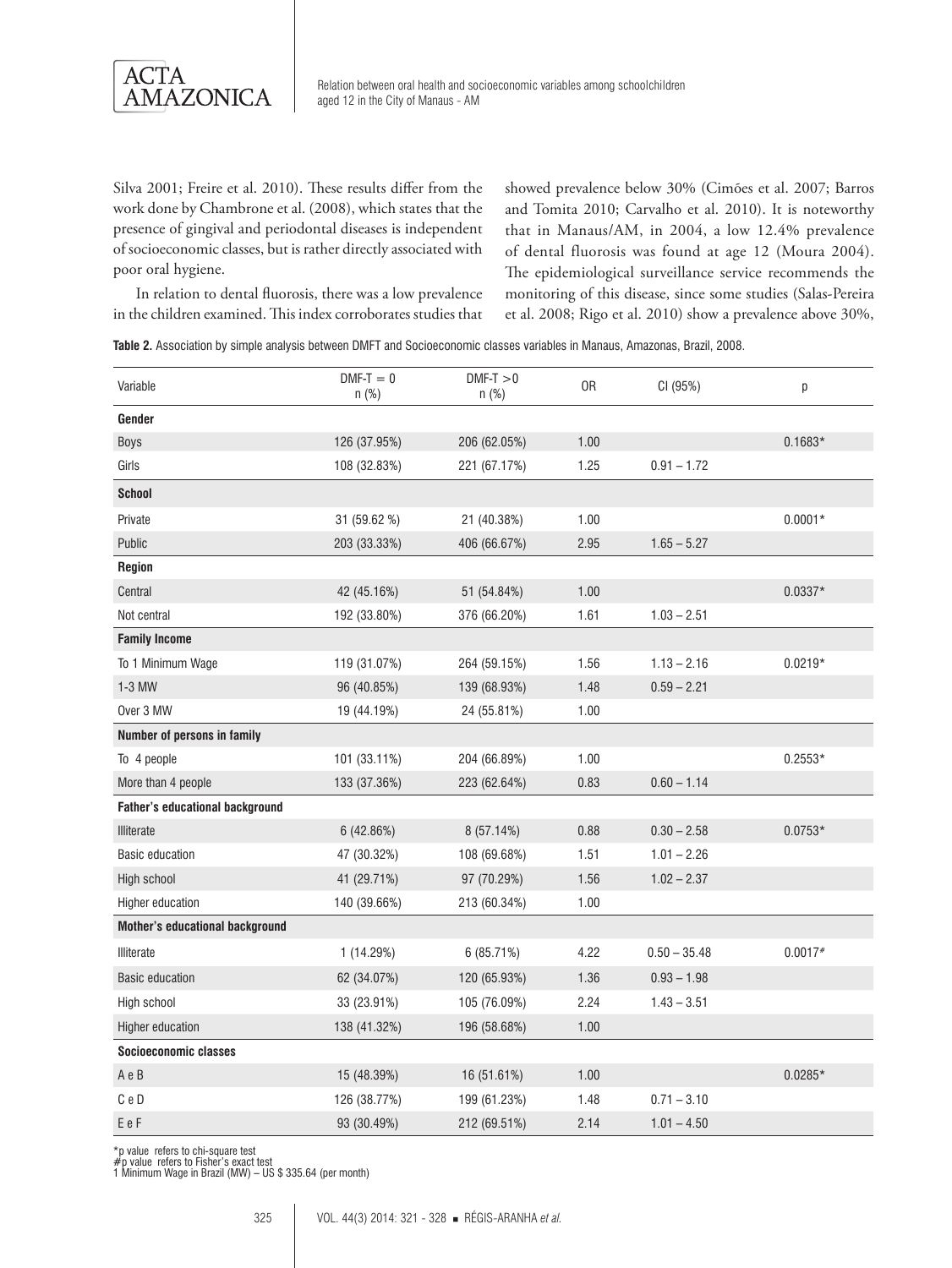

Silva 2001; Freire et al. 2010). These results differ from the work done by Chambrone et al. (2008), which states that the presence of gingival and periodontal diseases is independent of socioeconomic classes, but is rather directly associated with poor oral hygiene.

showed prevalence below 30% (Cimões et al. 2007; Barros and Tomita 2010; Carvalho et al. 2010). It is noteworthy that in Manaus/AM, in 2004, a low 12.4% prevalence of dental fluorosis was found at age 12 (Moura 2004). The epidemiological surveillance service recommends the monitoring of this disease, since some studies (Salas-Pereira et al. 2008; Rigo et al. 2010) show a prevalence above 30%,

In relation to dental fluorosis, there was a low prevalence in the children examined. This index corroborates studies that

|  |  |  |  | Table 2. Association by simple analysis between DMFT and Socioeconomic classes variables in Manaus. Amazonas, Brazil, 2008. |  |  |  |  |  |
|--|--|--|--|-----------------------------------------------------------------------------------------------------------------------------|--|--|--|--|--|
|--|--|--|--|-----------------------------------------------------------------------------------------------------------------------------|--|--|--|--|--|

| Variable                               | $DMF-T = 0$<br>$n$ (%) | $DMF-T > 0$<br>$n$ (%) | 0R   | CI (95%)       | р         |
|----------------------------------------|------------------------|------------------------|------|----------------|-----------|
| Gender                                 |                        |                        |      |                |           |
| Boys                                   | 126 (37.95%)           | 206 (62.05%)           | 1.00 |                | $0.1683*$ |
| Girls                                  | 108 (32.83%)           | 221 (67.17%)           | 1.25 | $0.91 - 1.72$  |           |
| <b>School</b>                          |                        |                        |      |                |           |
| Private                                | 31 (59.62 %)           | 21 (40.38%)            | 1.00 |                | $0.0001*$ |
| Public                                 | 203 (33.33%)           | 406 (66.67%)           | 2.95 | $1.65 - 5.27$  |           |
| Region                                 |                        |                        |      |                |           |
| Central                                | 42 (45.16%)            | 51 (54.84%)            | 1.00 |                | $0.0337*$ |
| Not central                            | 192 (33.80%)           | 376 (66.20%)           | 1.61 | $1.03 - 2.51$  |           |
| <b>Family Income</b>                   |                        |                        |      |                |           |
| To 1 Minimum Wage                      | 119 (31.07%)           | 264 (59.15%)           | 1.56 | $1.13 - 2.16$  | $0.0219*$ |
| 1-3 MW                                 | 96 (40.85%)            | 139 (68.93%)           | 1.48 | $0.59 - 2.21$  |           |
| Over 3 MW                              | 19 (44.19%)            | 24 (55.81%)            | 1.00 |                |           |
| Number of persons in family            |                        |                        |      |                |           |
| To 4 people                            | 101 (33.11%)           | 204 (66.89%)           | 1.00 |                | $0.2553*$ |
| More than 4 people                     | 133 (37.36%)           | 223 (62.64%)           | 0.83 | $0.60 - 1.14$  |           |
| <b>Father's educational background</b> |                        |                        |      |                |           |
| Illiterate                             | 6 (42.86%)             | 8 (57.14%)             | 0.88 | $0.30 - 2.58$  | $0.0753*$ |
| <b>Basic education</b>                 | 47 (30.32%)            | 108 (69.68%)           | 1.51 | $1.01 - 2.26$  |           |
| High school                            | 41 (29.71%)            | 97 (70.29%)            | 1.56 | $1.02 - 2.37$  |           |
| Higher education                       | 140 (39.66%)           | 213 (60.34%)           | 1.00 |                |           |
| <b>Mother's educational background</b> |                        |                        |      |                |           |
| Illiterate                             | 1(14.29%)              | 6(85.71%)              | 4.22 | $0.50 - 35.48$ | $0.0017*$ |
| <b>Basic education</b>                 | 62 (34.07%)            | 120 (65.93%)           | 1.36 | $0.93 - 1.98$  |           |
| High school                            | 33 (23.91%)            | 105 (76.09%)           | 2.24 | $1.43 - 3.51$  |           |
| Higher education                       | 138 (41.32%)           | 196 (58.68%)           | 1.00 |                |           |
| Socioeconomic classes                  |                        |                        |      |                |           |
| AeB                                    | 15 (48.39%)            | 16 (51.61%)            | 1.00 |                | $0.0285*$ |
| C <sub>e</sub> D                       | 126 (38.77%)           | 199 (61.23%)           | 1.48 | $0.71 - 3.10$  |           |
| EeF                                    | 93 (30.49%)            | 212 (69.51%)           | 2.14 | $1.01 - 4.50$  |           |

\*p value refers to chi-square test #p value refers to Fisher's exact test 1 Minimum Wage in Brazil (MW) – US \$ 335.64 (per month)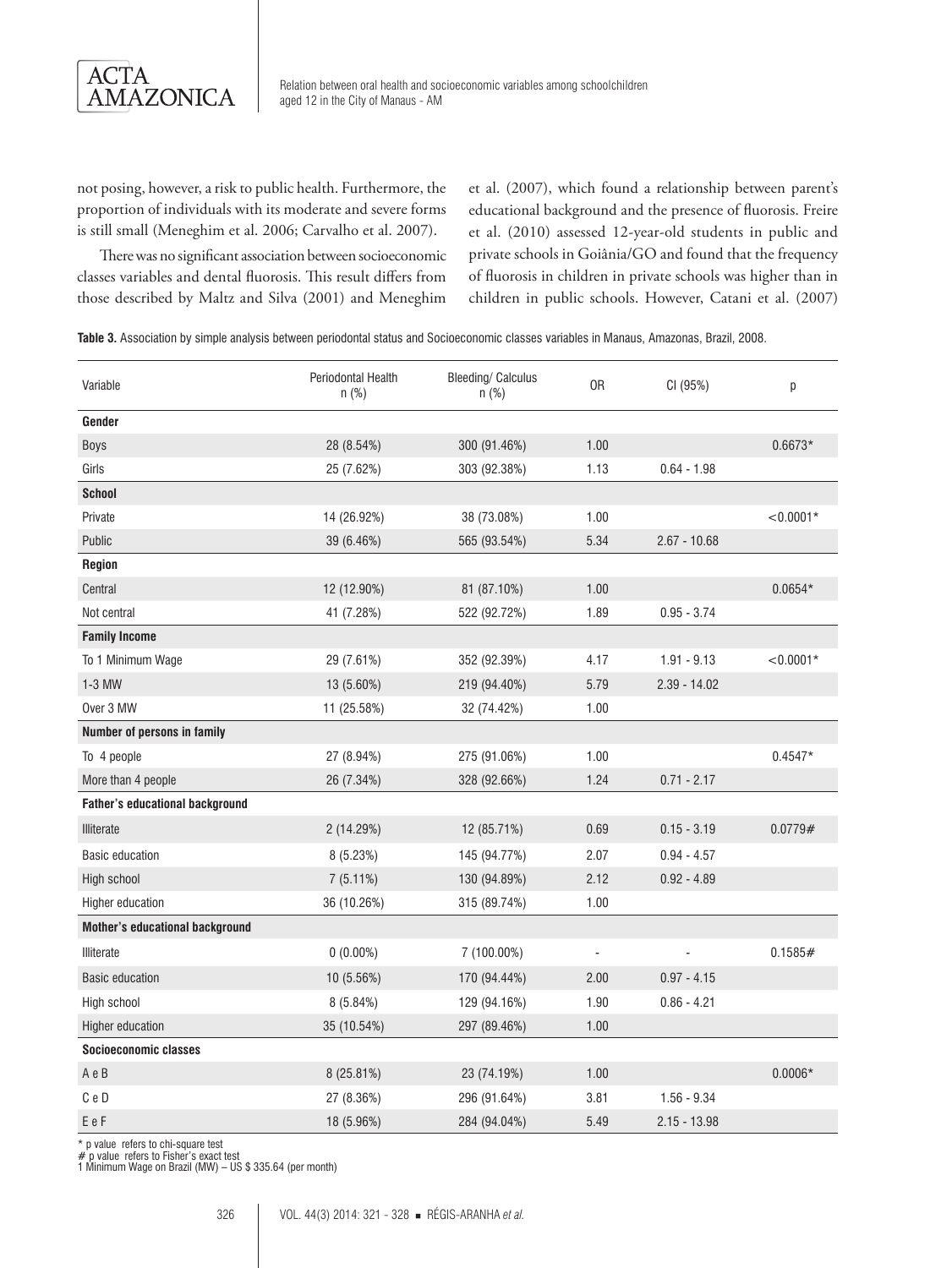

not posing, however, a risk to public health. Furthermore, the proportion of individuals with its moderate and severe forms is still small (Meneghim et al. 2006; Carvalho et al. 2007).

et al. (2007), which found a relationship between parent's educational background and the presence of fluorosis. Freire et al. (2010) assessed 12-year-old students in public and private schools in Goiânia/GO and found that the frequency of fluorosis in children in private schools was higher than in children in public schools. However, Catani et al. (2007)

There was no significant association between socioeconomic classes variables and dental fluorosis. This result differs from those described by Maltz and Silva (2001) and Meneghim

**Table 3.** Association by simple analysis between periodontal status and Socioeconomic classes variables in Manaus, Amazonas, Brazil, 2008.

| Variable                               | <b>Periodontal Health</b><br>$n$ (%) | <b>Bleeding/ Calculus</b><br>$n$ (%) | 0R                           | CI (95%)       | р           |
|----------------------------------------|--------------------------------------|--------------------------------------|------------------------------|----------------|-------------|
| Gender                                 |                                      |                                      |                              |                |             |
| Boys                                   | 28 (8.54%)                           | 300 (91.46%)                         | 1.00                         |                | $0.6673*$   |
| Girls                                  | 25 (7.62%)                           | 303 (92.38%)                         | 1.13                         | $0.64 - 1.98$  |             |
| <b>School</b>                          |                                      |                                      |                              |                |             |
| Private                                | 14 (26.92%)                          | 38 (73.08%)                          | 1.00                         |                | $< 0.0001*$ |
| Public                                 | 39 (6.46%)                           | 565 (93.54%)                         | 5.34                         | $2.67 - 10.68$ |             |
| <b>Region</b>                          |                                      |                                      |                              |                |             |
| Central                                | 12 (12.90%)                          | 81 (87.10%)                          | 1.00                         |                | $0.0654*$   |
| Not central                            | 41 (7.28%)                           | 522 (92.72%)                         | 1.89                         | $0.95 - 3.74$  |             |
| <b>Family Income</b>                   |                                      |                                      |                              |                |             |
| To 1 Minimum Wage                      | 29 (7.61%)                           | 352 (92.39%)                         | 4.17                         | $1.91 - 9.13$  | $< 0.0001*$ |
| $1-3$ MW                               | 13 (5.60%)                           | 219 (94.40%)                         | 5.79                         | $2.39 - 14.02$ |             |
| Over 3 MW                              | 11 (25.58%)                          | 32 (74.42%)                          | 1.00                         |                |             |
| Number of persons in family            |                                      |                                      |                              |                |             |
| To 4 people                            | 27 (8.94%)                           | 275 (91.06%)                         | 1.00                         |                | $0.4547*$   |
| More than 4 people                     | 26 (7.34%)                           | 328 (92.66%)                         | 1.24                         | $0.71 - 2.17$  |             |
| <b>Father's educational background</b> |                                      |                                      |                              |                |             |
| Illiterate                             | 2 (14.29%)                           | 12 (85.71%)                          | 0.69                         | $0.15 - 3.19$  | 0.0779#     |
| <b>Basic education</b>                 | 8(5.23%)                             | 145 (94.77%)                         | 2.07                         | $0.94 - 4.57$  |             |
| High school                            | 7(5.11%)                             | 130 (94.89%)                         | 2.12                         | $0.92 - 4.89$  |             |
| Higher education                       | 36 (10.26%)                          | 315 (89.74%)                         | 1.00                         |                |             |
| <b>Mother's educational background</b> |                                      |                                      |                              |                |             |
| Illiterate                             | $0(0.00\%)$                          | 7 (100.00%)                          | $\qquad \qquad \blacksquare$ |                | 0.1585#     |
| <b>Basic education</b>                 | 10 (5.56%)                           | 170 (94.44%)                         | 2.00                         | $0.97 - 4.15$  |             |
| High school                            | 8(5.84%)                             | 129 (94.16%)                         | 1.90                         | $0.86 - 4.21$  |             |
| Higher education                       | 35 (10.54%)                          | 297 (89.46%)                         | 1.00                         |                |             |
| Socioeconomic classes                  |                                      |                                      |                              |                |             |
| A e B                                  | 8 (25.81%)                           | 23 (74.19%)                          | 1.00                         |                | $0.0006*$   |
| C e D                                  | 27 (8.36%)                           | 296 (91.64%)                         | 3.81                         | $1.56 - 9.34$  |             |
| EeF                                    | 18 (5.96%)                           | 284 (94.04%)                         | 5.49                         | $2.15 - 13.98$ |             |

\* p value refers to chi-square test

# p value refers to Fisher's exact test 1 Minimum Wage on Brazil (MW) – US \$ 335.64 (per month)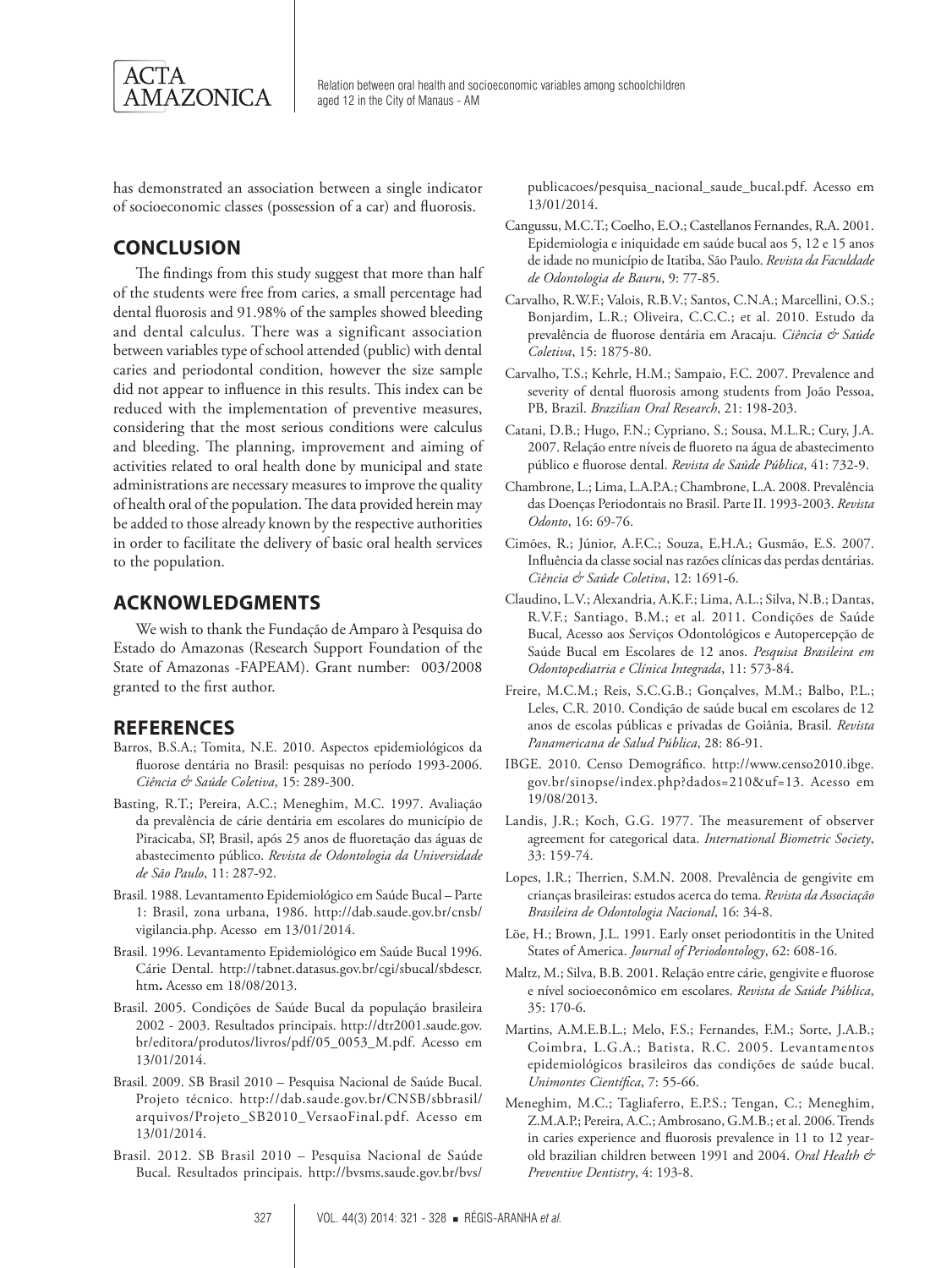

has demonstrated an association between a single indicator of socioeconomic classes (possession of a car) and fluorosis.

## **CONCLUSION**

The findings from this study suggest that more than half of the students were free from caries, a small percentage had dental fluorosis and 91.98% of the samples showed bleeding and dental calculus. There was a significant association between variables type of school attended (public) with dental caries and periodontal condition, however the size sample did not appear to influence in this results. This index can be reduced with the implementation of preventive measures, considering that the most serious conditions were calculus and bleeding. The planning, improvement and aiming of activities related to oral health done by municipal and state administrations are necessary measures to improve the quality of health oral of the population. The data provided herein may be added to those already known by the respective authorities in order to facilitate the delivery of basic oral health services to the population.

### **ACKNOWLEDGMENTS**

We wish to thank the Fundação de Amparo à Pesquisa do Estado do Amazonas (Research Support Foundation of the State of Amazonas -FAPEAM). Grant number: 003/2008 granted to the first author.

#### **REFERENCES**

- Barros, B.S.A.; Tomita, N.E. 2010. Aspectos epidemiológicos da fluorose dentária no Brasil: pesquisas no período 1993-2006. *Ciência & Saúde Coletiva*, 15: 289-300.
- Basting, R.T.; Pereira, A.C.; Meneghim, M.C. 1997. Avaliação da prevalência de cárie dentária em escolares do município de Piracicaba, SP, Brasil, após 25 anos de fluoretação das águas de abastecimento público. *Revista de Odontologia da Universidade de São Paulo*, 11: 287-92.
- Brasil. 1988. Levantamento Epidemiológico em Saúde Bucal Parte 1: Brasil, zona urbana, 1986. http://dab.saude.gov.br/cnsb/ vigilancia.php. Acesso em 13/01/2014.
- Brasil. 1996. Levantamento Epidemiológico em Saúde Bucal 1996. Cárie Dental. http://tabnet.datasus.gov.br/cgi/sbucal/sbdescr. htm**.** Acesso em 18/08/2013.
- Brasil. 2005. Condições de Saúde Bucal da população brasileira 2002 - 2003. Resultados principais. http://dtr2001.saude.gov. br/editora/produtos/livros/pdf/05\_0053\_M.pdf. Acesso em 13/01/2014.
- Brasil. 2009. SB Brasil 2010 Pesquisa Nacional de Saúde Bucal. Projeto técnico. http://dab.saude.gov.br/CNSB/sbbrasil/ arquivos/Projeto\_SB2010\_VersaoFinal.pdf. Acesso em 13/01/2014.
- Brasil. 2012. SB Brasil 2010 Pesquisa Nacional de Saúde Bucal. Resultados principais. http://bvsms.saude.gov.br/bvs/

publicacoes/pesquisa\_nacional\_saude\_bucal.pdf. Acesso em 13/01/2014.

- Cangussu, M.C.T.; Coelho, E.O.; Castellanos Fernandes, R.A. 2001. Epidemiologia e iniquidade em saúde bucal aos 5, 12 e 15 anos de idade no município de Itatiba, São Paulo. *Revista da Faculdade de Odontologia de Bauru*, 9: 77-85.
- Carvalho, R.W.F.; Valois, R.B.V.; Santos, C.N.A.; Marcellini, O.S.; Bonjardim, L.R.; Oliveira, C.C.C.; et al. 2010. Estudo da prevalência de fluorose dentária em Aracaju. *Ciência & Saúde Coletiva*, 15: 1875-80.
- Carvalho, T.S.; Kehrle, H.M.; Sampaio, F.C. 2007. Prevalence and severity of dental fluorosis among students from João Pessoa, PB, Brazil. *Brazilian Oral Research*, 21: 198-203.
- Catani, D.B.; Hugo, F.N.; Cypriano, S.; Sousa, M.L.R.; Cury, J.A. 2007. Relação entre níveis de fluoreto na água de abastecimento público e fluorose dental. *Revista de Saúde Pública*, 41: 732-9.
- Chambrone, L.; Lima, L.A.P.A.; Chambrone, L.A. 2008. Prevalência das Doenças Periodontais no Brasil. Parte II. 1993-2003. *Revista Odonto*, 16: 69-76.
- Cimões, R.; Júnior, A.F.C.; Souza, E.H.A.; Gusmão, E.S. 2007. Influência da classe social nas razões clínicas das perdas dentárias. *Ciência & Saúde Coletiva*, 12: 1691-6.
- Claudino, L.V.; Alexandria, A.K.F.; Lima, A.L.; Silva, N.B.; Dantas, R.V.F.; Santiago, B.M.; et al. 2011. Condições de Saúde Bucal, Acesso aos Serviços Odontológicos e Autopercepção de Saúde Bucal em Escolares de 12 anos. *Pesquisa Brasileira em Odontopediatria e Clínica Integrada*, 11: 573-84.
- Freire, M.C.M.; Reis, S.C.G.B.; Gonçalves, M.M.; Balbo, P.L.; Leles, C.R. 2010. Condição de saúde bucal em escolares de 12 anos de escolas públicas e privadas de Goiânia, Brasil. *Revista Panamericana de Salud Pública*, 28: 86-91.
- IBGE. 2010. Censo Demográfico. http://www.censo2010.ibge. gov.br/sinopse/index.php?dados=210&uf=13. Acesso em 19/08/2013.
- Landis, J.R.; Koch, G.G. 1977. The measurement of observer agreement for categorical data. *International Biometric Society*, 33: 159-74.
- Lopes, I.R.; Therrien, S.M.N. 2008. Prevalência de gengivite em crianças brasileiras: estudos acerca do tema. *Revista da Associação Brasileira de Odontologia Nacional*, 16: 34-8.
- Löe, H.; Brown, J.L. 1991. Early onset periodontitis in the United States of America. *Journal of Periodontology*, 62: 608-16.
- Maltz, M.; Silva, B.B. 2001. Relação entre cárie, gengivite e fluorose e nível socioeconômico em escolares. *Revista de Saúde Pública*, 35: 170-6.
- Martins, A.M.E.B.L.; Melo, F.S.; Fernandes, F.M.; Sorte, J.A.B.; Coimbra, L.G.A.; Batista, R.C. 2005. Levantamentos epidemiológicos brasileiros das condições de saúde bucal. *Unimontes Científica*, 7: 55-66.
- Meneghim, M.C.; Tagliaferro, E.P.S.; Tengan, C.; Meneghim, Z.M.A.P.; Pereira, A.C.; Ambrosano, G.M.B.; et al. 2006. Trends in caries experience and fluorosis prevalence in 11 to 12 yearold brazilian children between 1991 and 2004. *Oral Health & Preventive Dentistry*, 4: 193-8.